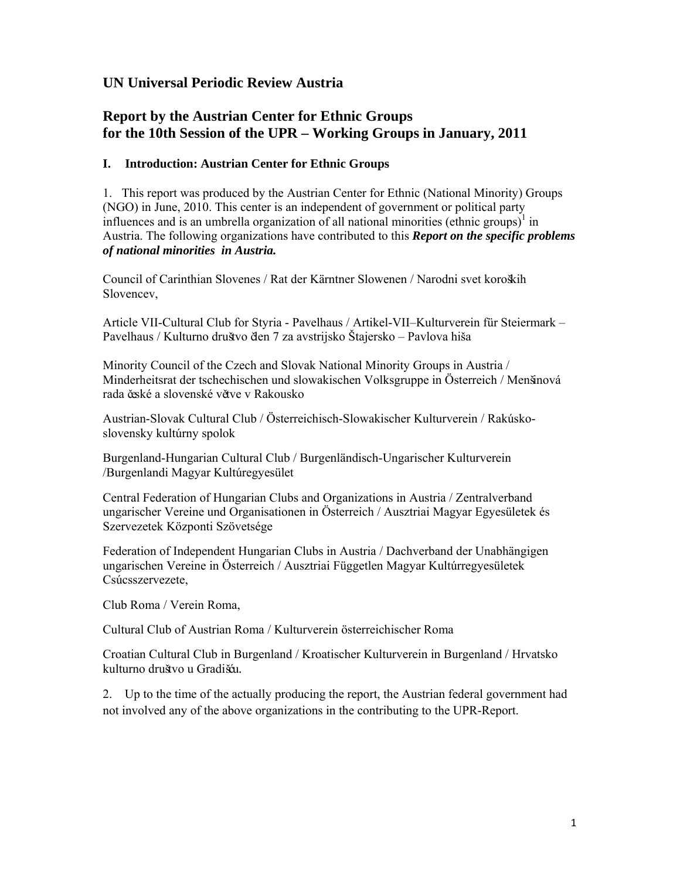# **UN Universal Periodic Review Austria**

# **Report by the Austrian Center for Ethnic Groups for the 10th Session of the UPR – Working Groups in January, 2011**

# **I. Introduction: Austrian Center for Ethnic Groups**

1. This report was produced by the Austrian Center for Ethnic (National Minority) Groups (NGO) in June, 2010. This center is an independent of government or political party influences and is an umbrella organization of all national minorities (ethnic groups)<sup>1</sup> in Austria. The following organizations have contributed to this *Report on the specific problems of national minorities in Austria.*

Council of Carinthian Slovenes / Rat der Kärntner Slowenen / Narodni svet koroških Slovencev,

Article VII-Cultural Club for Styria - Pavelhaus / Artikel-VII–Kulturverein für Steiermark – Pavelhaus / Kulturno društvo člen 7 za avstrijsko Štajersko – Pavlova hiša

Minority Council of the Czech and Slovak National Minority Groups in Austria / Minderheitsrat der tschechischen und slowakischen Volksgruppe in Österreich / Menšinová rada české a slovenské větve v Rakousko

Austrian-Slovak Cultural Club / Österreichisch-Slowakischer Kulturverein / Rakúskoslovensky kultúrny spolok

Burgenland-Hungarian Cultural Club / Burgenländisch-Ungarischer Kulturverein /Burgenlandi Magyar Kultúregyesület

Central Federation of Hungarian Clubs and Organizations in Austria / Zentralverband ungarischer Vereine und Organisationen in Österreich / Ausztriai Magyar Egyesületek és Szervezetek Központi Szövetsége

Federation of Independent Hungarian Clubs in Austria / Dachverband der Unabhängigen ungarischen Vereine in Österreich / Ausztriai Független Magyar Kultúrregyesületek Csúcsszervezete,

Club Roma / Verein Roma,

Cultural Club of Austrian Roma / Kulturverein österreichischer Roma

Croatian Cultural Club in Burgenland / Kroatischer Kulturverein in Burgenland / Hrvatsko kulturno društvo u Gradišću*.* 

2. Up to the time of the actually producing the report, the Austrian federal government had not involved any of the above organizations in the contributing to the UPR-Report.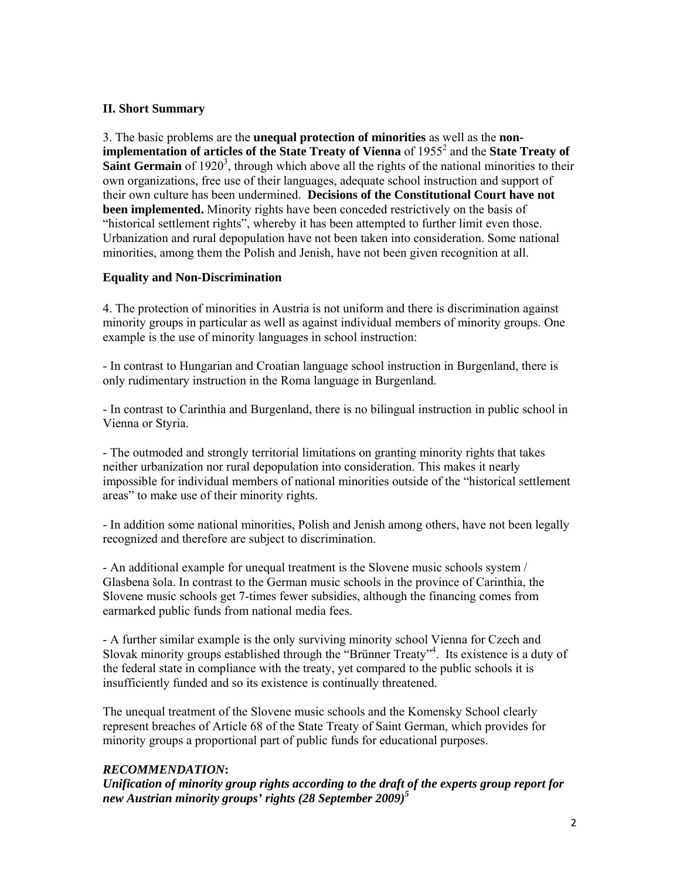#### **II. Short Summary**

3. The basic problems are the **unequal protection of minorities** as well as the **non**implementation of articles of the State Treaty of Vienna of 1955<sup>2</sup> and the State Treaty of **Saint Germain** of 1920<sup>3</sup>, through which above all the rights of the national minorities to their own organizations, free use of their languages, adequate school instruction and support of their own culture has been undermined. **Decisions of the Constitutional Court have not been implemented.** Minority rights have been conceded restrictively on the basis of "historical settlement rights", whereby it has been attempted to further limit even those. Urbanization and rural depopulation have not been taken into consideration. Some national minorities, among them the Polish and Jenish, have not been given recognition at all.

## **Equality and Non-Discrimination**

4. The protection of minorities in Austria is not uniform and there is discrimination against minority groups in particular as well as against individual members of minority groups. One example is the use of minority languages in school instruction:

- In contrast to Hungarian and Croatian language school instruction in Burgenland, there is only rudimentary instruction in the Roma language in Burgenland.

- In contrast to Carinthia and Burgenland, there is no bilingual instruction in public school in Vienna or Styria.

- The outmoded and strongly territorial limitations on granting minority rights that takes neither urbanization nor rural depopulation into consideration. This makes it nearly impossible for individual members of national minorities outside of the "historical settlement areas" to make use of their minority rights.

- In addition some national minorities, Polish and Jenish among others, have not been legally recognized and therefore are subject to discrimination.

- An additional example for unequal treatment is the Slovene music schools system / Glasbena šola. In contrast to the German music schools in the province of Carinthia, the Slovene music schools get 7-times fewer subsidies, although the financing comes from earmarked public funds from national media fees.

- A further similar example is the only surviving minority school Vienna for Czech and Slovak minority groups established through the "Brünner Treaty"<sup>4</sup>. Its existence is a duty of the federal state in compliance with the treaty, yet compared to the public schools it is insufficiently funded and so its existence is continually threatened.

The unequal treatment of the Slovene music schools and the Komensky School clearly represent breaches of Article 68 of the State Treaty of Saint German, which provides for minority groups a proportional part of public funds for educational purposes.

# *RECOMMENDATION***:**

*Unification of minority group rights according to the draft of the experts group report for new Austrian minority groups' rights (28 September 2009)<sup>5</sup>*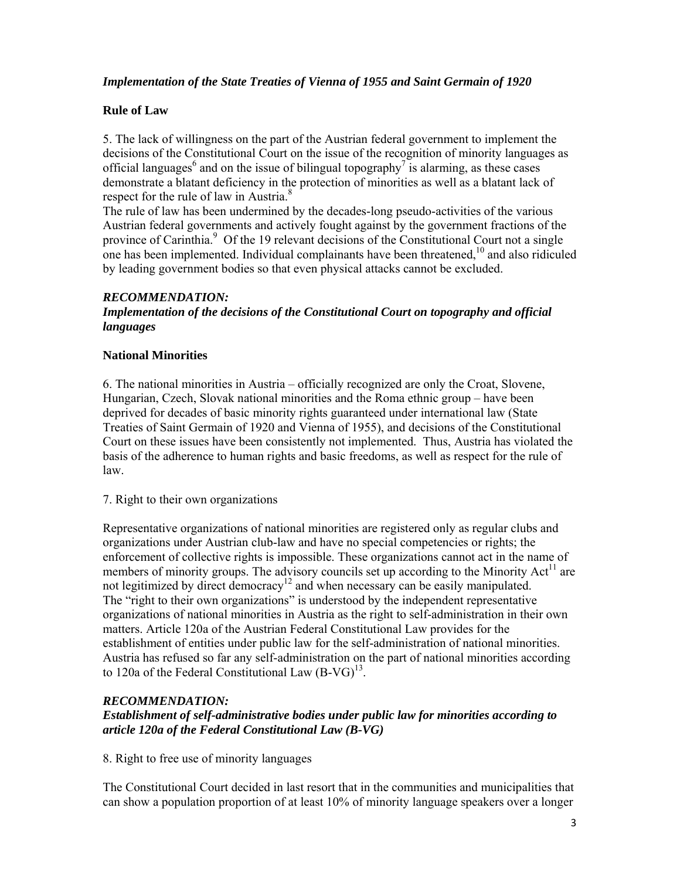# *Implementation of the State Treaties of Vienna of 1955 and Saint Germain of 1920*

## **Rule of Law**

5. The lack of willingness on the part of the Austrian federal government to implement the decisions of the Constitutional Court on the issue of the recognition of minority languages as official languages<sup>6</sup> and on the issue of bilingual topography<sup>7</sup> is alarming, as these cases demonstrate a blatant deficiency in the protection of minorities as well as a blatant lack of respect for the rule of law in Austria.<sup>8</sup>

The rule of law has been undermined by the decades-long pseudo-activities of the various Austrian federal governments and actively fought against by the government fractions of the province of Carinthia.<sup>9</sup> Of the 19 relevant decisions of the Constitutional Court not a single one has been implemented. Individual complainants have been threatened,  $10$  and also ridiculed by leading government bodies so that even physical attacks cannot be excluded.

#### *RECOMMENDATION:*

## *Implementation of the decisions of the Constitutional Court on topography and official languages*

#### **National Minorities**

6. The national minorities in Austria – officially recognized are only the Croat, Slovene, Hungarian, Czech, Slovak national minorities and the Roma ethnic group – have been deprived for decades of basic minority rights guaranteed under international law (State Treaties of Saint Germain of 1920 and Vienna of 1955), and decisions of the Constitutional Court on these issues have been consistently not implemented. Thus, Austria has violated the basis of the adherence to human rights and basic freedoms, as well as respect for the rule of law.

#### 7. Right to their own organizations

Representative organizations of national minorities are registered only as regular clubs and organizations under Austrian club-law and have no special competencies or rights; the enforcement of collective rights is impossible. These organizations cannot act in the name of members of minority groups. The advisory councils set up according to the Minority Act<sup>11</sup> are not legitimized by direct democracy<sup>12</sup> and when necessary can be easily manipulated. The "right to their own organizations" is understood by the independent representative organizations of national minorities in Austria as the right to self-administration in their own matters. Article 120a of the Austrian Federal Constitutional Law provides for the establishment of entities under public law for the self-administration of national minorities. Austria has refused so far any self-administration on the part of national minorities according to 120a of the Federal Constitutional Law  $(B-VG)^{13}$ .

#### *RECOMMENDATION:*

## *Establishment of self-administrative bodies under public law for minorities according to article 120a of the Federal Constitutional Law (B-VG)*

8. Right to free use of minority languages

The Constitutional Court decided in last resort that in the communities and municipalities that can show a population proportion of at least 10% of minority language speakers over a longer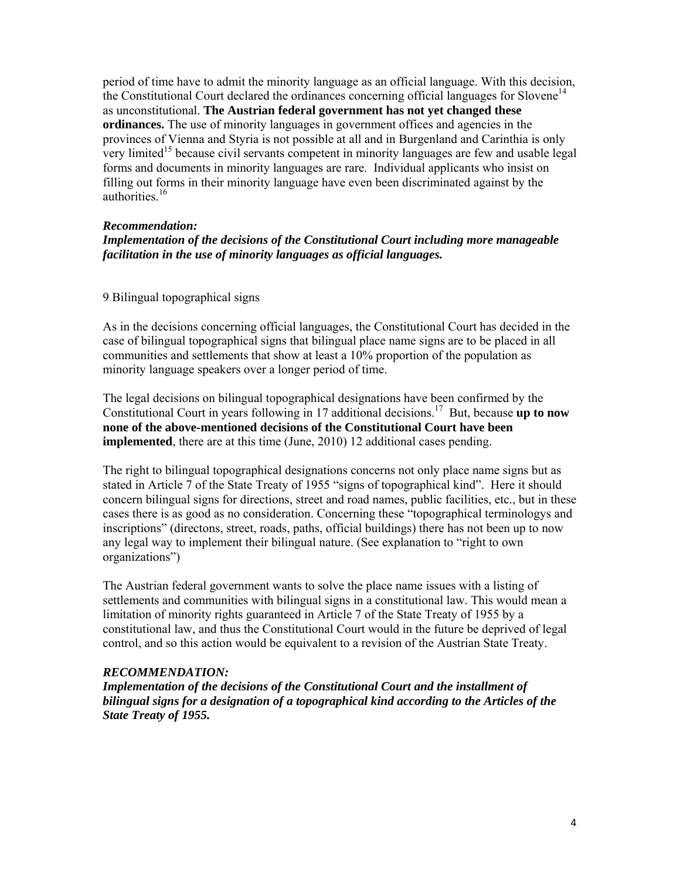period of time have to admit the minority language as an official language. With this decision, the Constitutional Court declared the ordinances concerning official languages for Slovene<sup>14</sup> as unconstitutional. **The Austrian federal government has not yet changed these ordinances.** The use of minority languages in government offices and agencies in the provinces of Vienna and Styria is not possible at all and in Burgenland and Carinthia is only very limited<sup>15</sup> because civil servants competent in minority languages are few and usable legal forms and documents in minority languages are rare. Individual applicants who insist on filling out forms in their minority language have even been discriminated against by the authorities.<sup>16</sup>

## *Recommendation:*

# *Implementation of the decisions of the Constitutional Court including more manageable facilitation in the use of minority languages as official languages.*

#### 9 Bilingual topographical signs

As in the decisions concerning official languages, the Constitutional Court has decided in the case of bilingual topographical signs that bilingual place name signs are to be placed in all communities and settlements that show at least a 10% proportion of the population as minority language speakers over a longer period of time.

The legal decisions on bilingual topographical designations have been confirmed by the Constitutional Court in years following in 17 additional decisions.<sup>17</sup> But, because **up to now none of the above-mentioned decisions of the Constitutional Court have been implemented**, there are at this time (June, 2010) 12 additional cases pending.

The right to bilingual topographical designations concerns not only place name signs but as stated in Article 7 of the State Treaty of 1955 "signs of topographical kind". Here it should concern bilingual signs for directions, street and road names, public facilities, etc., but in these cases there is as good as no consideration. Concerning these "topographical terminologys and inscriptions" (directons, street, roads, paths, official buildings) there has not been up to now any legal way to implement their bilingual nature. (See explanation to "right to own organizations")

The Austrian federal government wants to solve the place name issues with a listing of settlements and communities with bilingual signs in a constitutional law. This would mean a limitation of minority rights guaranteed in Article 7 of the State Treaty of 1955 by a constitutional law, and thus the Constitutional Court would in the future be deprived of legal control, and so this action would be equivalent to a revision of the Austrian State Treaty.

#### *RECOMMENDATION:*

*Implementation of the decisions of the Constitutional Court and the installment of bilingual signs for a designation of a topographical kind according to the Articles of the State Treaty of 1955.*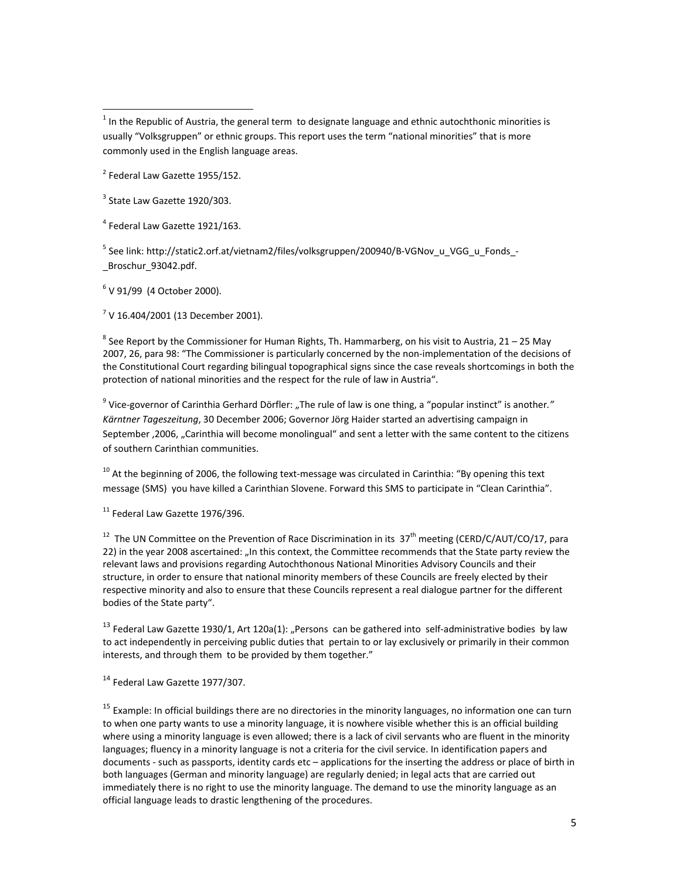$^1$  In the Republic of Austria, the general term to designate language and ethnic autochthonic minorities is usually "Volksgruppen" or ethnic groups. This report uses the term "national minorities" that is more commonly used in the English language areas.

<sup>2</sup> Federal Law Gazette 1955/152.

<sup>3</sup> State Law Gazette 1920/303.

<sup>4</sup> Federal Law Gazette 1921/163.

5 See link: http://static2.orf.at/vietnam2/files/volksgruppen/200940/B-VGNov\_u\_VGG\_u\_Fonds\_-Broschur\_93042.pdf.

 $6$  V 91/99 (4 October 2000).

 $7$  V 16.404/2001 (13 December 2001).

 $8$  See Report by the Commissioner for Human Rights, Th. Hammarberg, on his visit to Austria, 21 – 25 May 2007, 26, para 98: "The Commissioner is particularly concerned by the non‐implementation of the decisions of the Constitutional Court regarding bilingual topographical signs since the case reveals shortcomings in both the protection of national minorities and the respect for the rule of law in Austria".

<sup>9</sup> Vice‐governor of Carinthia Gerhard Dörfler: "The rule of law is one thing, a "popular instinct" is another*." Kärntner Tageszeitung*, 30 December 2006; Governor Jörg Haider started an advertising campaign in September ,2006, "Carinthia will become monolingual" and sent a letter with the same content to the citizens of southern Carinthian communities.

 $10$  At the beginning of 2006, the following text-message was circulated in Carinthia: "By opening this text message (SMS) you have killed a Carinthian Slovene. Forward this SMS to participate in "Clean Carinthia".

 $11$  Federal Law Gazette 1976/396.

<sup>12</sup> The UN Committee on the Prevention of Race Discrimination in its  $37<sup>th</sup>$  meeting (CERD/C/AUT/CO/17, para 22) in the year 2008 ascertained: "In this context, the Committee recommends that the State party review the relevant laws and provisions regarding Autochthonous National Minorities Advisory Councils and their structure, in order to ensure that national minority members of these Councils are freely elected by their respective minority and also to ensure that these Councils represent a real dialogue partner for the different bodies of the State party".

 $13$  Federal Law Gazette 1930/1, Art 120a(1): "Persons can be gathered into self-administrative bodies by law to act independently in perceiving public duties that pertain to or lay exclusively or primarily in their common interests, and through them to be provided by them together."

<sup>14</sup> Federal Law Gazette 1977/307.

<sup>15</sup> Example: In official buildings there are no directories in the minority languages, no information one can turn to when one party wants to use a minority language, it is nowhere visible whether this is an official building where using a minority language is even allowed; there is a lack of civil servants who are fluent in the minority languages; fluency in a minority language is not a criteria for the civil service. In identification papers and documents ‐ such as passports, identity cards etc – applications for the inserting the address or place of birth in both languages (German and minority language) are regularly denied; in legal acts that are carried out immediately there is no right to use the minority language. The demand to use the minority language as an official language leads to drastic lengthening of the procedures.